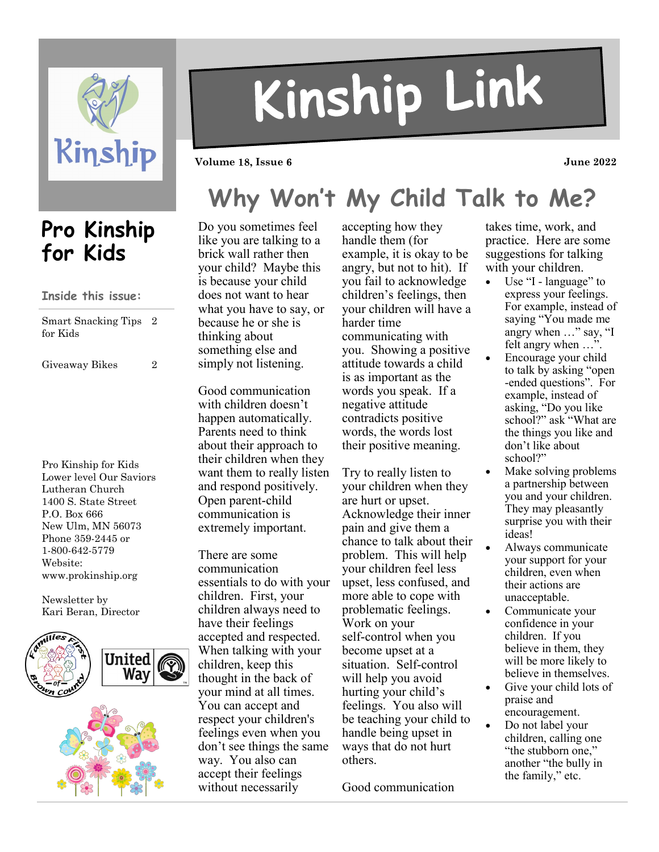

# Kinship Link

**Volume 18, Issue 6** 2022

## **Why Won't My Child Talk to Me?**

## **Pro Kinship for Kids**

### **Inside this issue:**

| Smart Snacking Tips 2 |  |
|-----------------------|--|
| for Kids              |  |

Giveaway Bikes 2

Pro Kinship for Kids Lower level Our Saviors Lutheran Church 1400 S. State Street P.O. Box 666 New Ulm, MN 56073 Phone 359-2445 or 1-800-642-5779 Website: www.prokinship.org

Newsletter by Kari Beran, Director



Do you sometimes feel like you are talking to a brick wall rather then your child? Maybe this is because your child does not want to hear what you have to say, or because he or she is thinking about something else and simply not listening.

Good communication with children doesn't happen automatically. Parents need to think about their approach to their children when they want them to really listen and respond positively. Open parent-child communication is extremely important.

There are some communication essentials to do with your children. First, your children always need to have their feelings accepted and respected. When talking with your children, keep this thought in the back of your mind at all times. You can accept and respect your children's feelings even when you don't see things the same way. You also can accept their feelings without necessarily

accepting how they handle them (for example, it is okay to be angry, but not to hit). If you fail to acknowledge children's feelings, then your children will have a harder time communicating with you. Showing a positive attitude towards a child is as important as the words you speak. If a negative attitude contradicts positive words, the words lost their positive meaning.

Try to really listen to your children when they are hurt or upset. Acknowledge their inner pain and give them a chance to talk about their problem. This will help your children feel less upset, less confused, and more able to cope with problematic feelings. Work on your self-control when you become upset at a situation. Self-control will help you avoid hurting your child's feelings. You also will be teaching your child to handle being upset in ways that do not hurt others.

Good communication

takes time, work, and practice. Here are some suggestions for talking with your children.

- Use "I language" to express your feelings. For example, instead of saying "You made me angry when …" say, "I felt angry when …".
- Encourage your child to talk by asking "open -ended questions". For example, instead of asking, "Do you like school?" ask "What are the things you like and don't like about school?"
- Make solving problems a partnership between you and your children. They may pleasantly surprise you with their ideas!
- Always communicate your support for your children, even when their actions are unacceptable.
- Communicate your confidence in your children. If you believe in them, they will be more likely to believe in themselves.
- Give your child lots of praise and encouragement.
- Do not label your children, calling one "the stubborn one," another "the bully in the family," etc.